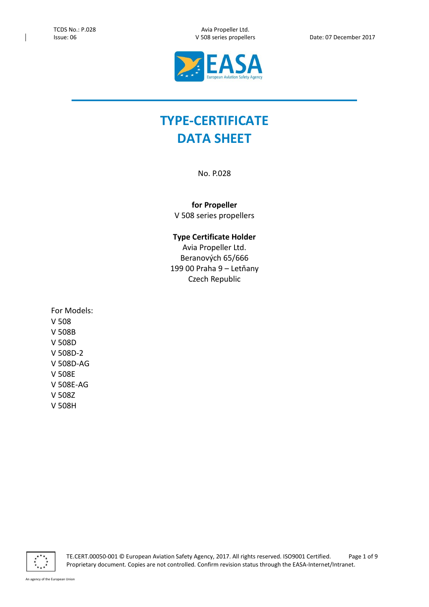TCDS No.: P.028 **Avia Propeller Ltd.**<br>
Issue: 06 Avia Propeller Ltd.<br>
V 508 series propelle V 508 series propellers Date: 07 December 2017



# **TYPE-CERTIFICATE DATA SHEET**

No. P.028

**for Propeller** V 508 series propellers

# **Type Certificate Holder**

Avia Propeller Ltd. Beranových 65/666 199 00 Praha 9 – Letňany Czech Republic

For Models: V 508 V 508B V 508D V 508D-2 V 508D-AG V 508E V 508E-AG V 508Z V 508H

 $\overline{\cdots}$ 

TE.CERT.00050-001 © European Aviation Safety Agency, 2017. All rights reserved. ISO9001 Certified. Page 1 of 9 Proprietary document. Copies are not controlled. Confirm revision status through the EASA-Internet/Intranet.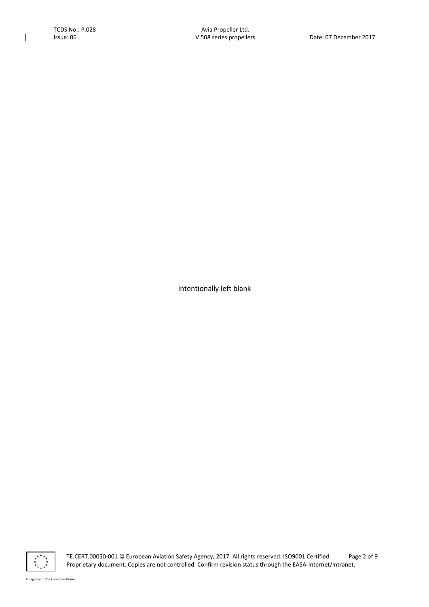Intentionally left blank



TE.CERT.00050-001 © European Aviation Safety Agency, 2017. All rights reserved. ISO9001 Certified. Page 2 of 9 Proprietary document. Copies are not controlled. Confirm revision status through the EASA-Internet/Intranet.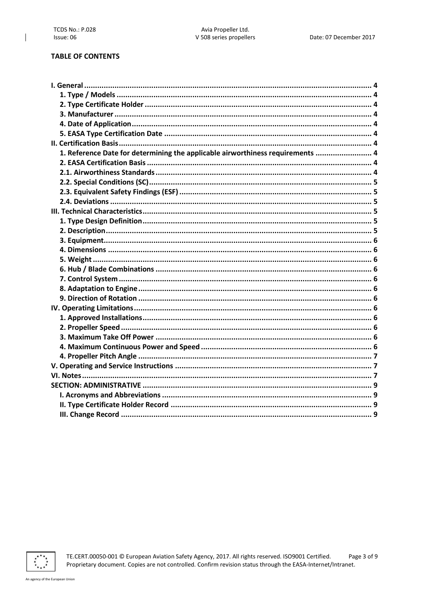# **TABLE OF CONTENTS**

| 1. Reference Date for determining the applicable airworthiness requirements  4 |  |
|--------------------------------------------------------------------------------|--|
|                                                                                |  |
|                                                                                |  |
|                                                                                |  |
|                                                                                |  |
|                                                                                |  |
|                                                                                |  |
|                                                                                |  |
|                                                                                |  |
|                                                                                |  |
|                                                                                |  |
|                                                                                |  |
|                                                                                |  |
|                                                                                |  |
|                                                                                |  |
|                                                                                |  |
|                                                                                |  |
|                                                                                |  |
|                                                                                |  |
|                                                                                |  |
|                                                                                |  |
|                                                                                |  |
|                                                                                |  |
|                                                                                |  |
|                                                                                |  |
|                                                                                |  |
|                                                                                |  |
|                                                                                |  |
|                                                                                |  |

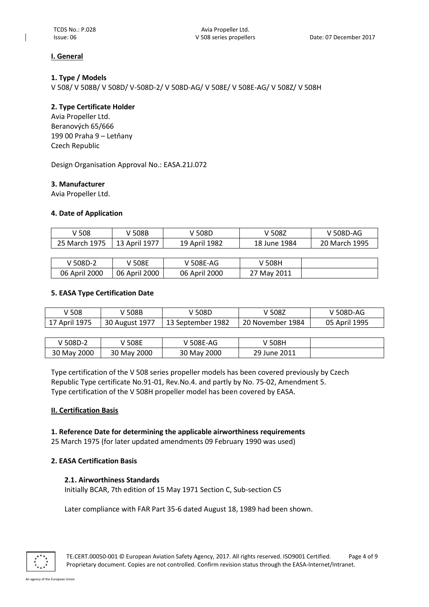# <span id="page-3-0"></span>**I. General**

# <span id="page-3-1"></span>**1. Type / Models**

V 508/ V 508B/ V 508D/ V-508D-2/ V 508D-AG/ V 508E/ V 508E-AG/ V 508Z/ V 508H

## <span id="page-3-2"></span>**2. Type Certificate Holder**

Avia Propeller Ltd. Beranových 65/666 199 00 Praha 9 – Letňany Czech Republic

Design Organisation Approval No.: EASA.21J.072

## <span id="page-3-3"></span>**3. Manufacturer**

Avia Propeller Ltd.

## <span id="page-3-4"></span>**4. Date of Application**

| '508          | ' 508B        | ` <i>'</i> 508D | / 508Z       | V 508D-AG     |
|---------------|---------------|-----------------|--------------|---------------|
| 25 March 1975 | 13 April 1977 | 19 April 1982   | 18 June 1984 | 20 March 1995 |

| V 508D-2      | 508E          | / 508E-AG     | V 508H      |  |
|---------------|---------------|---------------|-------------|--|
| 06 April 2000 | 06 April 2000 | 06 April 2000 | 27 May 2011 |  |

## <span id="page-3-5"></span>**5. EASA Type Certification Date**

| V 508         | $'$ 508B       | V 508D            | V 508Z           | V 508D-AG     |
|---------------|----------------|-------------------|------------------|---------------|
| 17 April 1975 | 30 August 1977 | 13 September 1982 | 20 November 1984 | 05 April 1995 |

| $'$ 508D- $\overline{ }$ | / 508E      | 508E-AG        | 508H         |  |
|--------------------------|-------------|----------------|--------------|--|
| 2000<br>30 May           | 30 May 2000 | 2000<br>30 May | 29 June 2011 |  |

Type certification of the V 508 series propeller models has been covered previously by Czech Republic Type certificate No.91-01, Rev.No.4. and partly by No. 75-02, Amendment 5. Type certification of the V 508H propeller model has been covered by EASA.

## <span id="page-3-6"></span>**II. Certification Basis**

## <span id="page-3-7"></span>**1. Reference Date for determining the applicable airworthiness requirements**

25 March 1975 (for later updated amendments 09 February 1990 was used)

# <span id="page-3-8"></span>**2. EASA Certification Basis**

## <span id="page-3-9"></span>**2.1. Airworthiness Standards**

Initially BCAR, 7th edition of 15 May 1971 Section C, Sub-section C5

Later compliance with FAR Part 35-6 dated August 18, 1989 had been shown.

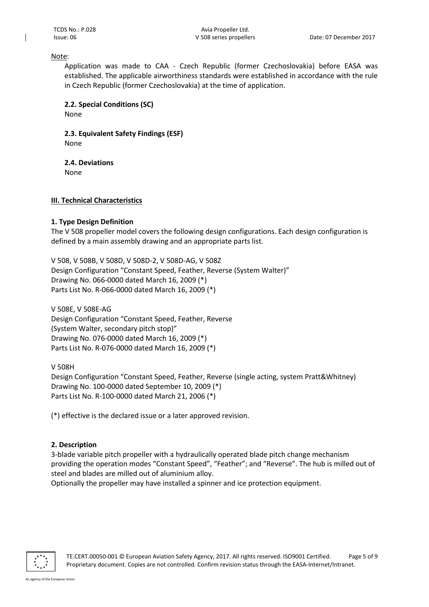#### Note:

Application was made to CAA - Czech Republic (former Czechoslovakia) before EASA was established. The applicable airworthiness standards were established in accordance with the rule in Czech Republic (former Czechoslovakia) at the time of application.

<span id="page-4-0"></span>**2.2. Special Conditions (SC)** None

<span id="page-4-1"></span>**2.3. Equivalent Safety Findings (ESF)** None

<span id="page-4-2"></span>**2.4. Deviations** None

#### <span id="page-4-3"></span>**III. Technical Characteristics**

## <span id="page-4-4"></span>**1. Type Design Definition**

The V 508 propeller model covers the following design configurations. Each design configuration is defined by a main assembly drawing and an appropriate parts list.

V 508, V 508B, V 508D, V 508D-2, V 508D-AG, V 508Z Design Configuration "Constant Speed, Feather, Reverse (System Walter)" Drawing No. 066-0000 dated March 16, 2009 (\*) Parts List No. R-066-0000 dated March 16, 2009 (\*)

V 508E, V 508E-AG Design Configuration "Constant Speed, Feather, Reverse (System Walter, secondary pitch stop)" Drawing No. 076-0000 dated March 16, 2009 (\*) Parts List No. R-076-0000 dated March 16, 2009 (\*)

V 508H Design Configuration "Constant Speed, Feather, Reverse (single acting, system Pratt&Whitney) Drawing No. 100-0000 dated September 10, 2009 (\*) Parts List No. R-100-0000 dated March 21, 2006 (\*)

(\*) effective is the declared issue or a later approved revision.

## <span id="page-4-5"></span>**2. Description**

3-blade variable pitch propeller with a hydraulically operated blade pitch change mechanism providing the operation modes "Constant Speed", "Feather"; and "Reverse". The hub is milled out of steel and blades are milled out of aluminium alloy.

Optionally the propeller may have installed a spinner and ice protection equipment.

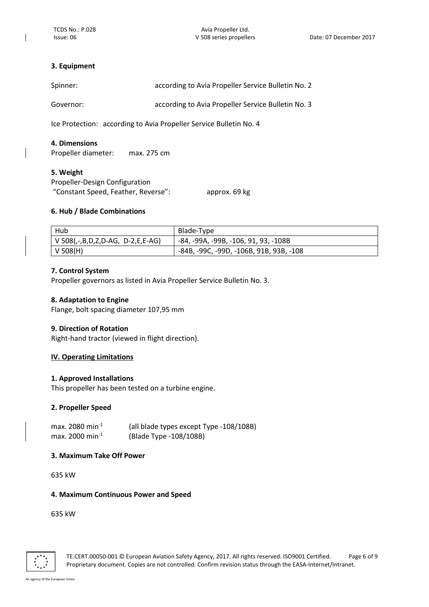## <span id="page-5-0"></span>**3. Equipment**

| Spinner:  | according to Avia Propeller Service Bulletin No. 2                 |
|-----------|--------------------------------------------------------------------|
| Governor: | according to Avia Propeller Service Bulletin No. 3                 |
|           | Ice Protection: according to Avia Propeller Service Bulletin No. 4 |

<span id="page-5-1"></span>**4. Dimensions**

Propeller diameter: max. 275 cm

#### <span id="page-5-2"></span>**5. Weight**

Propeller-Design Configuration "Constant Speed, Feather, Reverse": approx. 69 kg

## <span id="page-5-3"></span>**6. Hub / Blade Combinations**

| Hub                              | Blade-Type                              |
|----------------------------------|-----------------------------------------|
| V 508(,-,B,D,Z,D-AG, D-2,E,E-AG) | -84, -99A, -99B, -106, 91, 93, -108B    |
| $V$ 508(H)                       | -84B, -99C, -99D, -106B, 91B, 93B, -108 |

#### <span id="page-5-4"></span>**7. Control System**

Propeller governors as listed in Avia Propeller Service Bulletin No. 3.

#### <span id="page-5-5"></span>**8. Adaptation to Engine**

Flange, bolt spacing diameter 107,95 mm

#### <span id="page-5-6"></span>**9. Direction of Rotation**

<span id="page-5-7"></span>Right-hand tractor (viewed in flight direction).

## **IV. Operating Limitations**

## <span id="page-5-8"></span>**1. Approved Installations**

This propeller has been tested on a turbine engine.

## <span id="page-5-9"></span>**2. Propeller Speed**

| max. 2080 min <sup>-1</sup> | (all blade types except Type -108/108B) |
|-----------------------------|-----------------------------------------|
| max. 2000 min <sup>-1</sup> | (Blade Type -108/108B)                  |

#### <span id="page-5-10"></span>**3. Maximum Take Off Power**

635 kW

## <span id="page-5-11"></span>**4. Maximum Continuous Power and Speed**

635 kW

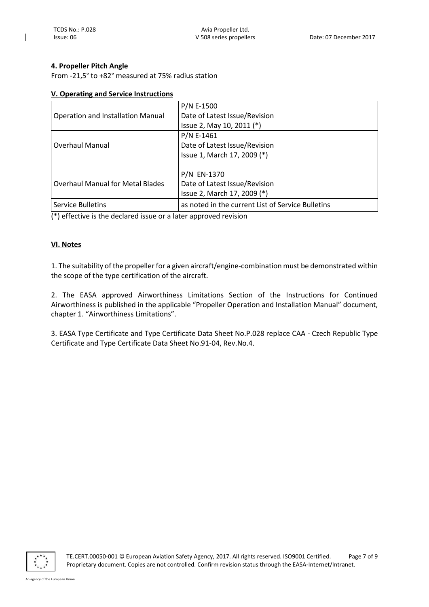#### <span id="page-6-0"></span>**4. Propeller Pitch Angle**

<span id="page-6-1"></span>From -21,5° to +82° measured at 75% radius station

## **V. Operating and Service Instructions**

| <b>Operation and Installation Manual</b> | P/N E-1500<br>Date of Latest Issue/Revision<br>Issue 2, May 10, 2011 (*)    |
|------------------------------------------|-----------------------------------------------------------------------------|
| <b>Overhaul Manual</b>                   | P/N E-1461<br>Date of Latest Issue/Revision<br>Issue 1, March 17, 2009 (*)  |
| <b>Overhaul Manual for Metal Blades</b>  | P/N EN-1370<br>Date of Latest Issue/Revision<br>Issue 2, March 17, 2009 (*) |
| Service Bulletins                        | as noted in the current List of Service Bulletins                           |

(\*) effective is the declared issue or a later approved revision

# <span id="page-6-2"></span>**VI. Notes**

1. The suitability of the propeller for a given aircraft/engine-combination must be demonstrated within the scope of the type certification of the aircraft.

2. The EASA approved Airworthiness Limitations Section of the Instructions for Continued Airworthiness is published in the applicable "Propeller Operation and Installation Manual" document, chapter 1. "Airworthiness Limitations".

3. EASA Type Certificate and Type Certificate Data Sheet No.P.028 replace CAA - Czech Republic Type Certificate and Type Certificate Data Sheet No.91-04, Rev.No.4.

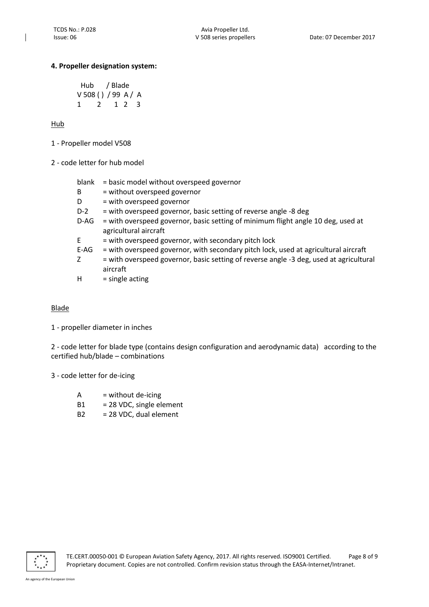# **4. Propeller designation system:**

| Hub.                |           | / Blade |       |  |
|---------------------|-----------|---------|-------|--|
| V 508 () / 99 A / A |           |         |       |  |
| 1                   | $\lambda$ |         | 1 2 3 |  |

Hub

- 1 Propeller model V508
- 2 code letter for hub model
	- blank = basic model without overspeed governor
	- B = without overspeed governor
	- $D =$  with overspeed governor
	- D-2 = with overspeed governor, basic setting of reverse angle -8 deg
	- D-AG = with overspeed governor, basic setting of minimum flight angle 10 deg, used at agricultural aircraft
	- $E$  = with overspeed governor, with secondary pitch lock
	- E-AG = with overspeed governor, with secondary pitch lock, used at agricultural aircraft
	- Z = with overspeed governor, basic setting of reverse angle -3 deg, used at agricultural aircraft
	- $H = single acting$

# Blade

1 - propeller diameter in inches

2 - code letter for blade type (contains design configuration and aerodynamic data) according to the certified hub/blade – combinations

3 - code letter for de-icing

- A = without de-icing
- B1 = 28 VDC, single element
- B2 = 28 VDC, dual element